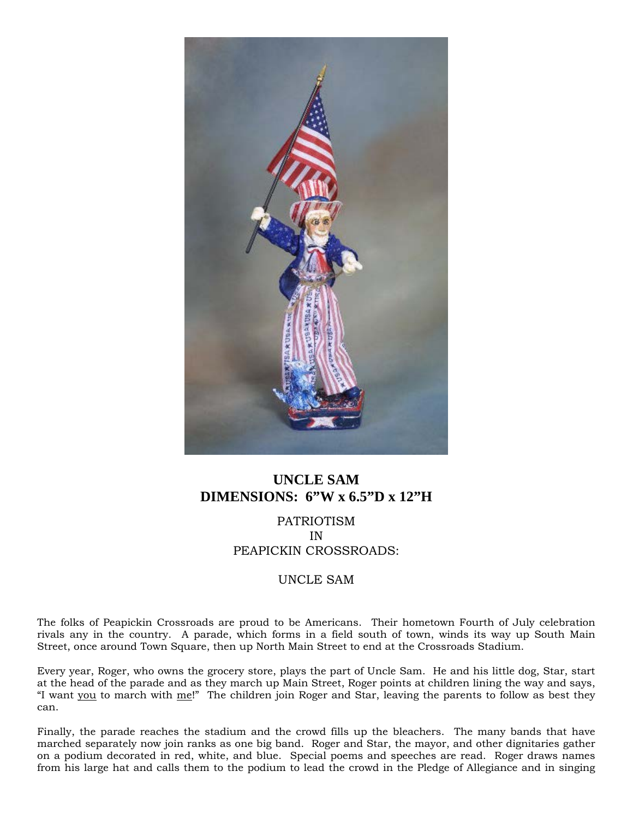

## **UNCLE SAM DIMENSIONS: 6"W x 6.5"D x 12"H**

PATRIOTISM IN PEAPICKIN CROSSROADS:

## UNCLE SAM

The folks of Peapickin Crossroads are proud to be Americans. Their hometown Fourth of July celebration rivals any in the country. A parade, which forms in a field south of town, winds its way up South Main Street, once around Town Square, then up North Main Street to end at the Crossroads Stadium.

Every year, Roger, who owns the grocery store, plays the part of Uncle Sam. He and his little dog, Star, start at the head of the parade and as they march up Main Street, Roger points at children lining the way and says, "I want you to march with me!" The children join Roger and Star, leaving the parents to follow as best they can.

Finally, the parade reaches the stadium and the crowd fills up the bleachers. The many bands that have marched separately now join ranks as one big band. Roger and Star, the mayor, and other dignitaries gather on a podium decorated in red, white, and blue. Special poems and speeches are read. Roger draws names from his large hat and calls them to the podium to lead the crowd in the Pledge of Allegiance and in singing